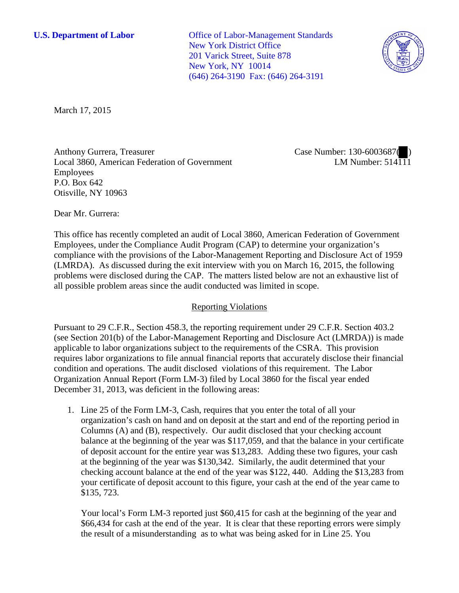**U.S. Department of Labor** Office of Labor-Management Standards New York District Office 201 Varick Street, Suite 878 New York, NY 10014 (646) 264-3190 Fax: (646) 264-3191



March 17, 2015

Anthony Gurrera, Treasurer Local 3860, American Federation of Government Employees P.O. Box 642 Otisville, NY 10963

Case Number: 130-6003687( ) LM Number:  $514\overline{11}1$ 

Dear Mr. Gurrera:

This office has recently completed an audit of Local 3860, American Federation of Government Employees, under the Compliance Audit Program (CAP) to determine your organization's compliance with the provisions of the Labor-Management Reporting and Disclosure Act of 1959 (LMRDA). As discussed during the exit interview with you on March 16, 2015, the following problems were disclosed during the CAP. The matters listed below are not an exhaustive list of all possible problem areas since the audit conducted was limited in scope.

## Reporting Violations

Pursuant to 29 C.F.R., Section 458.3, the reporting requirement under 29 C.F.R. Section 403.2 (see Section 201(b) of the Labor-Management Reporting and Disclosure Act (LMRDA)) is made applicable to labor organizations subject to the requirements of the CSRA. This provision requires labor organizations to file annual financial reports that accurately disclose their financial condition and operations. The audit disclosed violations of this requirement. The Labor Organization Annual Report (Form LM-3) filed by Local 3860 for the fiscal year ended December 31, 2013, was deficient in the following areas:

1. Line 25 of the Form LM-3, Cash, requires that you enter the total of all your organization's cash on hand and on deposit at the start and end of the reporting period in Columns (A) and (B), respectively. Our audit disclosed that your checking account balance at the beginning of the year was \$117,059, and that the balance in your certificate of deposit account for the entire year was \$13,283. Adding these two figures, your cash at the beginning of the year was \$130,342. Similarly, the audit determined that your checking account balance at the end of the year was \$122, 440. Adding the \$13,283 from your certificate of deposit account to this figure, your cash at the end of the year came to \$135, 723.

Your local's Form LM-3 reported just \$60,415 for cash at the beginning of the year and \$66,434 for cash at the end of the year. It is clear that these reporting errors were simply the result of a misunderstanding as to what was being asked for in Line 25. You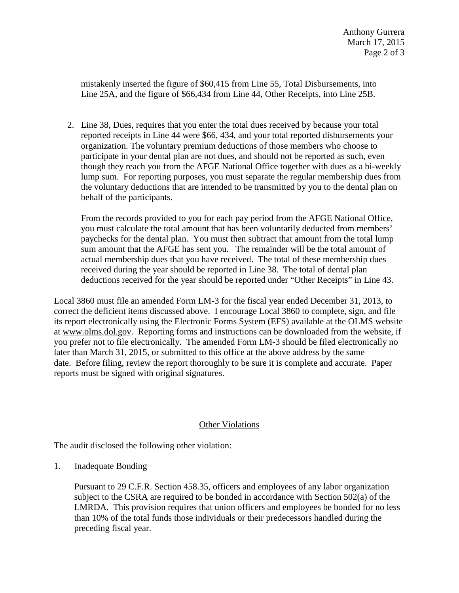mistakenly inserted the figure of \$60,415 from Line 55, Total Disbursements, into Line 25A, and the figure of \$66,434 from Line 44, Other Receipts, into Line 25B.

2. Line 38, Dues, requires that you enter the total dues received by because your total reported receipts in Line 44 were \$66, 434, and your total reported disbursements your organization. The voluntary premium deductions of those members who choose to participate in your dental plan are not dues, and should not be reported as such, even though they reach you from the AFGE National Office together with dues as a bi-weekly lump sum. For reporting purposes, you must separate the regular membership dues from the voluntary deductions that are intended to be transmitted by you to the dental plan on behalf of the participants.

From the records provided to you for each pay period from the AFGE National Office, you must calculate the total amount that has been voluntarily deducted from members' paychecks for the dental plan. You must then subtract that amount from the total lump sum amount that the AFGE has sent you. The remainder will be the total amount of actual membership dues that you have received. The total of these membership dues received during the year should be reported in Line 38. The total of dental plan deductions received for the year should be reported under "Other Receipts" in Line 43.

Local 3860 must file an amended Form LM-3 for the fiscal year ended December 31, 2013, to correct the deficient items discussed above. I encourage Local 3860 to complete, sign, and file its report electronically using the Electronic Forms System (EFS) available at the OLMS website at www.olms.dol.gov. Reporting forms and instructions can be downloaded from the website, if you prefer not to file electronically. The amended Form LM-3 should be filed electronically no later than March 31, 2015, or submitted to this office at the above address by the same date. Before filing, review the report thoroughly to be sure it is complete and accurate. Paper reports must be signed with original signatures.

## Other Violations

The audit disclosed the following other violation:

1. Inadequate Bonding

Pursuant to 29 C.F.R. Section 458.35, officers and employees of any labor organization subject to the CSRA are required to be bonded in accordance with Section 502(a) of the LMRDA. This provision requires that union officers and employees be bonded for no less than 10% of the total funds those individuals or their predecessors handled during the preceding fiscal year.